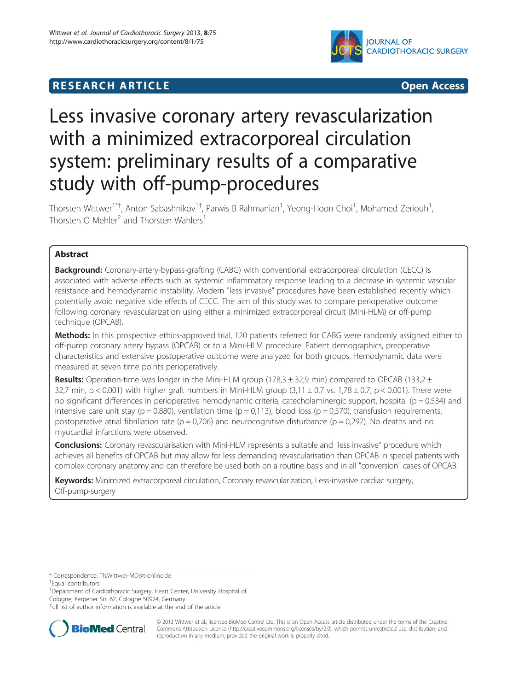

# **RESEARCH ARTICLE CONSUMING A RESEARCH ARTICLE**

# Less invasive coronary artery revascularization with a minimized extracorporeal circulation system: preliminary results of a comparative study with off-pump-procedures

Thorsten Wittwer<sup>1\*†</sup>, Anton Sabashnikov<sup>1†</sup>, Parwis B Rahmanian<sup>1</sup>, Yeong-Hoon Choi<sup>1</sup>, Mohamed Zeriouh<sup>1</sup> , Thorsten O Mehler<sup>2</sup> and Thorsten Wahlers<sup>1</sup>

# Abstract

**Background:** Coronary-artery-bypass-grafting (CABG) with conventional extracorporeal circulation (CECC) is associated with adverse effects such as systemic inflammatory response leading to a decrease in systemic vascular resistance and hemodynamic instability. Modern "less invasive" procedures have been established recently which potentially avoid negative side effects of CECC. The aim of this study was to compare perioperative outcome following coronary revascularization using either a minimized extracorporeal circuit (Mini-HLM) or off-pump technique (OPCAB).

Methods: In this prospective ethics-approved trial, 120 patients referred for CABG were randomly assigned either to off-pump coronary artery bypass (OPCAB) or to a Mini-HLM procedure. Patient demographics, preoperative characteristics and extensive postoperative outcome were analyzed for both groups. Hemodynamic data were measured at seven time points perioperatively.

**Results:** Operation-time was longer in the Mini-HLM group (178,3  $\pm$  32,9 min) compared to OPCAB (133,2  $\pm$ 32,7 min, p < 0,001) with higher graft numbers in Mini-HLM group  $(3,11 \pm 0.7 \text{ vs. } 1.78 \pm 0.7, \text{ p} < 0.001)$ . There were no significant differences in perioperative hemodynamic criteria, catecholaminergic support, hospital ( $p = 0.534$ ) and intensive care unit stay ( $p = 0.880$ ), ventilation time ( $p = 0.113$ ), blood loss ( $p = 0.570$ ), transfusion requirements, postoperative atrial fibrillation rate ( $p = 0.706$ ) and neurocognitive disturbance ( $p = 0.297$ ). No deaths and no myocardial infarctions were observed.

Conclusions: Coronary revascularisation with Mini-HLM represents a suitable and "less invasive" procedure which achieves all benefits of OPCAB but may allow for less demanding revascularisation than OPCAB in special patients with complex coronary anatomy and can therefore be used both on a routine basis and in all "conversion" cases of OPCAB.

Keywords: Minimized extracorporeal circulation, Coronary revascularization, Less-invasive cardiac surgery, Off-pump-surgery

<sup>1</sup>Department of Cardiothoracic Surgery, Heart Center, University Hospital of Cologne, Kerpener Str. 62, Cologne 50924, Germany

Full list of author information is available at the end of the article



© 2013 Wittwer et al.; licensee BioMed Central Ltd. This is an Open Access article distributed under the terms of the Creative Commons Attribution License [\(http://creativecommons.org/licenses/by/2.0\)](http://creativecommons.org/licenses/by/2.0), which permits unrestricted use, distribution, and reproduction in any medium, provided the original work is properly cited.

<sup>\*</sup> Correspondence: [Th.Wittwer-MD@t-online.de](mailto:Th.Wittwer-MD@t-online.de) †

Equal contributors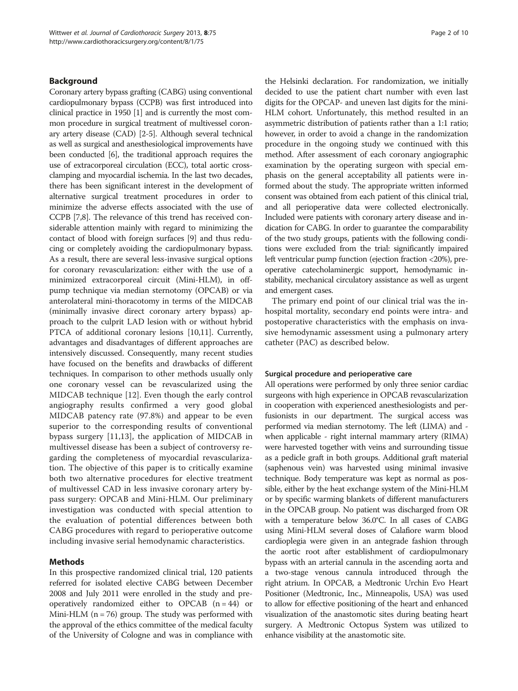# Background

Coronary artery bypass grafting (CABG) using conventional cardiopulmonary bypass (CCPB) was first introduced into clinical practice in 1950 [\[1](#page-8-0)] and is currently the most common procedure in surgical treatment of multivessel coronary artery disease (CAD) [\[2-5\]](#page-8-0). Although several technical as well as surgical and anesthesiological improvements have been conducted [\[6](#page-8-0)], the traditional approach requires the use of extracorporeal circulation (ECC), total aortic crossclamping and myocardial ischemia. In the last two decades, there has been significant interest in the development of alternative surgical treatment procedures in order to minimize the adverse effects associated with the use of CCPB [\[7,8\]](#page-8-0). The relevance of this trend has received considerable attention mainly with regard to minimizing the contact of blood with foreign surfaces [\[9](#page-8-0)] and thus reducing or completely avoiding the cardiopulmonary bypass. As a result, there are several less-invasive surgical options for coronary revascularization: either with the use of a minimized extracorporeal circuit (Mini-HLM), in offpump technique via median sternotomy (OPCAB) or via anterolateral mini-thoracotomy in terms of the MIDCAB (minimally invasive direct coronary artery bypass) approach to the culprit LAD lesion with or without hybrid PTCA of additional coronary lesions [[10,11](#page-8-0)]. Currently, advantages and disadvantages of different approaches are intensively discussed. Consequently, many recent studies have focused on the benefits and drawbacks of different techniques. In comparison to other methods usually only one coronary vessel can be revascularized using the MIDCAB technique [\[12](#page-8-0)]. Even though the early control angiography results confirmed a very good global MIDCAB patency rate (97.8%) and appear to be even superior to the corresponding results of conventional bypass surgery [\[11](#page-8-0),[13\]](#page-8-0), the application of MIDCAB in multivessel disease has been a subject of controversy regarding the completeness of myocardial revascularization. The objective of this paper is to critically examine both two alternative procedures for elective treatment of multivessel CAD in less invasive coronary artery bypass surgery: OPCAB and Mini-HLM. Our preliminary investigation was conducted with special attention to the evaluation of potential differences between both CABG procedures with regard to perioperative outcome including invasive serial hemodynamic characteristics.

# Methods

In this prospective randomized clinical trial, 120 patients referred for isolated elective CABG between December 2008 and July 2011 were enrolled in the study and preoperatively randomized either to OPCAB  $(n = 44)$  or Mini-HLM ( $n = 76$ ) group. The study was performed with the approval of the ethics committee of the medical faculty of the University of Cologne and was in compliance with

the Helsinki declaration. For randomization, we initially decided to use the patient chart number with even last digits for the OPCAP- and uneven last digits for the mini-HLM cohort. Unfortunately, this method resulted in an asymmetric distribution of patients rather than a 1:1 ratio; however, in order to avoid a change in the randomization procedure in the ongoing study we continued with this method. After assessment of each coronary angiographic examination by the operating surgeon with special emphasis on the general acceptability all patients were informed about the study. The appropriate written informed consent was obtained from each patient of this clinical trial, and all perioperative data were collected electronically. Included were patients with coronary artery disease and indication for CABG. In order to guarantee the comparability of the two study groups, patients with the following conditions were excluded from the trial: significantly impaired left ventricular pump function (ejection fraction <20%), preoperative catecholaminergic support, hemodynamic instability, mechanical circulatory assistance as well as urgent and emergent cases.

The primary end point of our clinical trial was the inhospital mortality, secondary end points were intra- and postoperative characteristics with the emphasis on invasive hemodynamic assessment using a pulmonary artery catheter (PAC) as described below.

#### Surgical procedure and perioperative care

All operations were performed by only three senior cardiac surgeons with high experience in OPCAB revascularization in cooperation with experienced anesthesiologists and perfusionists in our department. The surgical access was performed via median sternotomy. The left (LIMA) and when applicable - right internal mammary artery (RIMA) were harvested together with veins and surrounding tissue as a pedicle graft in both groups. Additional graft material (saphenous vein) was harvested using minimal invasive technique. Body temperature was kept as normal as possible, either by the heat exchange system of the Mini-HLM or by specific warming blankets of different manufacturers in the OPCAB group. No patient was discharged from OR with a temperature below 36.0°C. In all cases of CABG using Mini-HLM several doses of Calafiore warm blood cardioplegia were given in an antegrade fashion through the aortic root after establishment of cardiopulmonary bypass with an arterial cannula in the ascending aorta and a two-stage venous cannula introduced through the right atrium. In OPCAB, a Medtronic Urchin Evo Heart Positioner (Medtronic, Inc., Minneapolis, USA) was used to allow for effective positioning of the heart and enhanced visualization of the anastomotic sites during beating heart surgery. A Medtronic Octopus System was utilized to enhance visibility at the anastomotic site.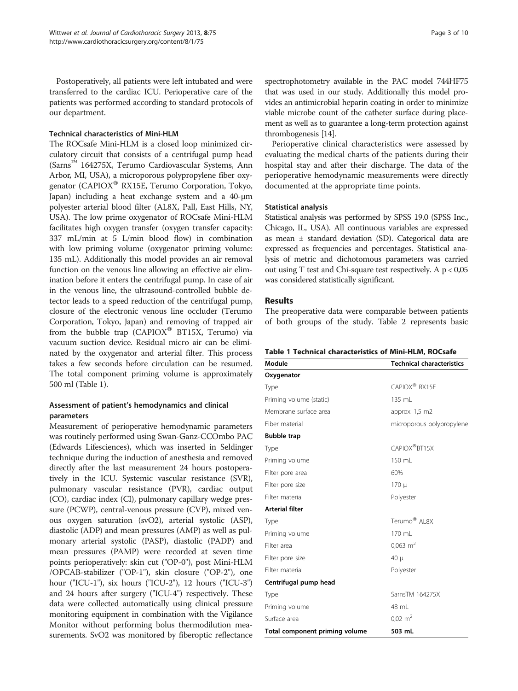Postoperatively, all patients were left intubated and were transferred to the cardiac ICU. Perioperative care of the patients was performed according to standard protocols of our department.

# Technical characteristics of Mini-HLM

The ROCsafe Mini-HLM is a closed loop minimized circulatory circuit that consists of a centrifugal pump head (Sarns™ 164275X, Terumo Cardiovascular Systems, Ann Arbor, MI, USA), a microporous polypropylene fiber oxygenator (CAPIOX<sup>®</sup> RX15E, Terumo Corporation, Tokyo, Japan) including a heat exchange system and a 40-μm polyester arterial blood filter (AL8X, Pall, East Hills, NY, USA). The low prime oxygenator of ROCsafe Mini-HLM facilitates high oxygen transfer (oxygen transfer capacity: 337 mL/min at 5 L/min blood flow) in combination with low priming volume (oxygenator priming volume: 135 mL). Additionally this model provides an air removal function on the venous line allowing an effective air elimination before it enters the centrifugal pump. In case of air in the venous line, the ultrasound-controlled bubble detector leads to a speed reduction of the centrifugal pump, closure of the electronic venous line occluder (Terumo Corporation, Tokyo, Japan) and removing of trapped air from the bubble trap (CAPIOX<sup>®</sup> BT15X, Terumo) via vacuum suction device. Residual micro air can be eliminated by the oxygenator and arterial filter. This process takes a few seconds before circulation can be resumed. The total component priming volume is approximately 500 ml (Table 1).

# Assessment of patient's hemodynamics and clinical parameters

Measurement of perioperative hemodynamic parameters was routinely performed using Swan-Ganz-CCOmbo PAC (Edwards Lifesciences), which was inserted in Seldinger technique during the induction of anesthesia and removed directly after the last measurement 24 hours postoperatively in the ICU. Systemic vascular resistance (SVR), pulmonary vascular resistance (PVR), cardiac output (CO), cardiac index (CI), pulmonary capillary wedge pressure (PCWP), central-venous pressure (CVP), mixed venous oxygen saturation (svO2), arterial systolic (ASP), diastolic (ADP) and mean pressures (AMP) as well as pulmonary arterial systolic (PASP), diastolic (PADP) and mean pressures (PAMP) were recorded at seven time points perioperatively: skin cut ("OP-0"), post Mini-HLM /OPCAB-stabilizer ("OP-1"), skin closure ("OP-2"), one hour ("ICU-1"), six hours ("ICU-2"), 12 hours ("ICU-3") and 24 hours after surgery ("ICU-4") respectively. These data were collected automatically using clinical pressure monitoring equipment in combination with the Vigilance Monitor without performing bolus thermodilution measurements. SvO2 was monitored by fiberoptic reflectance

spectrophotometry available in the PAC model 744HF75 that was used in our study. Additionally this model provides an antimicrobial heparin coating in order to minimize viable microbe count of the catheter surface during placement as well as to guarantee a long-term protection against thrombogenesis [\[14\]](#page-8-0).

Perioperative clinical characteristics were assessed by evaluating the medical charts of the patients during their hospital stay and after their discharge. The data of the perioperative hemodynamic measurements were directly documented at the appropriate time points.

# Statistical analysis

Statistical analysis was performed by SPSS 19.0 (SPSS Inc., Chicago, IL, USA). All continuous variables are expressed as mean ± standard deviation (SD). Categorical data are expressed as frequencies and percentages. Statistical analysis of metric and dichotomous parameters was carried out using  $T$  test and Chi-square test respectively. A  $p < 0.05$ was considered statistically significant.

# **Results**

The preoperative data were comparable between patients of both groups of the study. Table [2](#page-3-0) represents basic

|  | Table 1 Technical characteristics of Mini-HLM, ROCsafe |  |  |
|--|--------------------------------------------------------|--|--|
|--|--------------------------------------------------------|--|--|

| Module                         | <b>Technical characteristics</b> |  |  |
|--------------------------------|----------------------------------|--|--|
| Oxygenator                     |                                  |  |  |
| Type                           | CAPIOX <sup>®</sup> RX15F        |  |  |
| Priming volume (static)        | 135 mL                           |  |  |
| Membrane surface area          | approx. $1,5$ m $2$              |  |  |
| Fiber material                 | microporous polypropylene        |  |  |
| <b>Bubble trap</b>             |                                  |  |  |
| Type                           | CAPIOX <sup>®</sup> RT15X        |  |  |
| Priming volume                 | 150 mL                           |  |  |
| Filter pore area               | 60%                              |  |  |
| Filter pore size               | 170 µ                            |  |  |
| Filter material                | Polyester                        |  |  |
| <b>Arterial filter</b>         |                                  |  |  |
| Type                           | $Terumo®$ Al 8X                  |  |  |
| Priming volume                 | $170 \mathrm{m}$                 |  |  |
| Filter area                    | $0,063 \text{ m}^2$              |  |  |
| Filter pore size               | 40 µ                             |  |  |
| Filter material                | Polyester                        |  |  |
| Centrifugal pump head          |                                  |  |  |
| Type                           | SarnsTM 164275X                  |  |  |
| Priming volume                 | 48 mL                            |  |  |
| Surface area                   | $0.02 \text{ m}^2$               |  |  |
| Total component priming volume | 503 mL                           |  |  |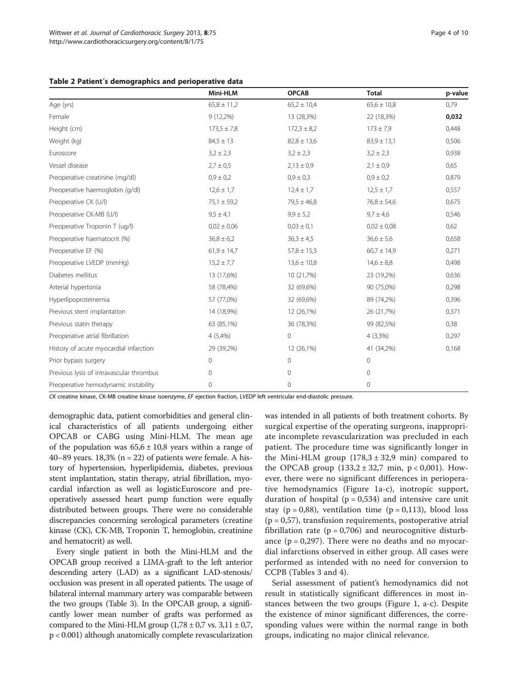<span id="page-3-0"></span>

|  |  |  |  | Table 2 Patient's demographics and perioperative data |  |
|--|--|--|--|-------------------------------------------------------|--|
|--|--|--|--|-------------------------------------------------------|--|

|                                          | Mini-HLM        | <b>OPCAB</b>    | <b>Total</b>    | p-value |
|------------------------------------------|-----------------|-----------------|-----------------|---------|
| Age (yrs)                                | $65,8 \pm 11,2$ | $65,2 \pm 10,4$ | $65,6 \pm 10,8$ | 0,79    |
| Female                                   | $9(12,2\%)$     | 13 (28,3%)      | 22 (18,3%)      | 0,032   |
| Height (cm)                              | $173,5 \pm 7,8$ | $172,3 \pm 8,2$ | $173 \pm 7.9$   | 0,448   |
| Weight (kg)                              | $84,5 \pm 13$   | $82,8 \pm 13,6$ | $83,9 \pm 13,1$ | 0,506   |
| Euroscore                                | $3,2 \pm 2,3$   | $3,2 \pm 2,3$   | $3,2 \pm 2,3$   | 0,938   |
| Vessel disease                           | $2,7 \pm 0.5$   | $2,13 \pm 0,9$  | $2,1 \pm 0.9$   | 0,65    |
| Preoperative creatinine (mg/dl)          | $0,9 \pm 0,2$   | $0.9 \pm 0.3$   | $0.9 \pm 0.2$   | 0,879   |
| Preoperative haemoglobin (g/dl)          | $12,6 \pm 1,7$  | $12,4 \pm 1,7$  | $12,5 \pm 1,7$  | 0,557   |
| Preoperative CK (U/I)                    | $75,1 \pm 59,2$ | $79.5 \pm 46.8$ | $76.8 \pm 54.6$ | 0,675   |
| Preoperative CK-MB (U/I)                 | $9.5 \pm 4.1$   | $9.9 \pm 5.2$   | $9.7 \pm 4.6$   | 0,546   |
| Preoperative Troponin T (ug/l)           | $0.02 \pm 0.06$ | $0.03 \pm 0.1$  | $0.02 \pm 0.08$ | 0,62    |
| Preoperative haematocrit (%)             | $36,8 \pm 6,2$  | $36,3 \pm 4,5$  | $36,6 \pm 5,6$  | 0,658   |
| Preoperative EF (%)                      | $61,9 \pm 14,7$ | $57,8 \pm 15,3$ | $60,7 \pm 14,9$ | 0,271   |
| Preoperative LVEDP (mmHg)                | $15,2 \pm 7,7$  | $13,6 \pm 10,8$ | $14,6 \pm 8,8$  | 0,498   |
| Diabetes mellitus                        | 13 (17,6%)      | 10 (21,7%)      | 23 (19,2%)      | 0,636   |
| Arterial hypertonia                      | 58 (78,4%)      | 32 (69,6%)      | 90 (75,0%)      | 0,298   |
| Hyperlipoproteinemia                     | 57 (77,0%)      | 32 (69,6%)      | 89 (74,2%)      | 0,396   |
| Previous stent implantation              | 14 (18,9%)      | 12 (26,1%)      | 26 (21,7%)      | 0,371   |
| Previous statin therapy                  | 63 (85,1%)      | 36 (78,3%)      | 99 (82,5%)      | 0,38    |
| Preoperative atrial fibrillation         | 4(5,4%)         | $\mathbf{0}$    | $4(3,3\%)$      | 0,297   |
| History of acute myocardial infarction   | 29 (39,2%)      | 12 (26,1%)      | 41 (34,2%)      | 0,168   |
| Prior bypass surgery                     | $\overline{0}$  | $\mathbf{0}$    | $\circ$         |         |
| Previous lysis of intravascular thrombus | 0               | 0               | 0               |         |
| Preoperative hemodynamic instability     | 0               | 0               | 0               |         |

CK creatine kinase, CK-MB creatine kinase isoenzyme, EF ejection fraction, LVEDP left ventricular end-diastolic pressure.

demographic data, patient comorbidities and general clinical characteristics of all patients undergoing either OPCAB or CABG using Mini-HLM. The mean age of the population was  $65.6 \pm 10.8$  years within a range of 40–89 years.  $18,3\%$  (n = 22) of patients were female. A history of hypertension, hyperlipidemia, diabetes, previous stent implantation, statin therapy, atrial fibrillation, myocardial infarction as well as logisticEuroscore and preoperatively assessed heart pump function were equally distributed between groups. There were no considerable discrepancies concerning serological parameters (creatine kinase (CK), CK-MB, Troponin T, hemoglobin, creatinine and hematocrit) as well.

Every single patient in both the Mini-HLM and the OPCAB group received a LIMA-graft to the left anterior descending artery (LAD) as a significant LAD-stenosis/ occlusion was present in all operated patients. The usage of bilateral internal mammary artery was comparable between the two groups (Table [3](#page-4-0)). In the OPCAB group, a significantly lower mean number of grafts was performed as compared to the Mini-HLM group  $(1,78 \pm 0,7)$  vs.  $3,11 \pm 0,7$ , p < 0.001) although anatomically complete revascularization

was intended in all patients of both treatment cohorts. By surgical expertise of the operating surgeons, inappropriate incomplete revascularization was precluded in each patient. The procedure time was significantly longer in the Mini-HLM group  $(178.3 \pm 32.9 \text{ min})$  compared to the OPCAB group  $(133,2 \pm 32,7 \text{ min}, p < 0,001)$ . However, there were no significant differences in perioperative hemodynamics (Figure [1a](#page-5-0)-c), inotropic support, duration of hospital ( $p = 0.534$ ) and intensive care unit stay ( $p = 0.88$ ), ventilation time ( $p = 0.113$ ), blood loss  $(p = 0.57)$ , transfusion requirements, postoperative atrial fibrillation rate ( $p = 0.706$ ) and neurocognitive disturbance  $(p = 0.297)$ . There were no deaths and no myocardial infarctions observed in either group. All cases were performed as intended with no need for conversion to CCPB (Tables [3](#page-4-0) and [4](#page-6-0)).

Serial assessment of patient's hemodynamics did not result in statistically significant differences in most instances between the two groups (Figure [1](#page-5-0), a-c). Despite the existence of minor significant differences, the corresponding values were within the normal range in both groups, indicating no major clinical relevance.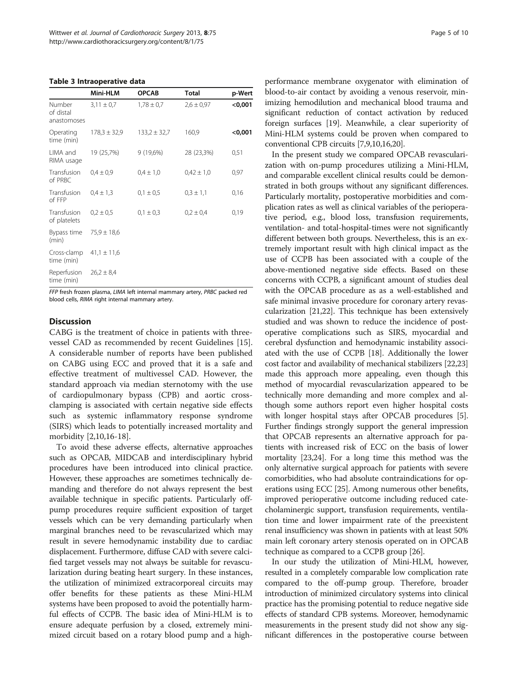#### <span id="page-4-0"></span>Table 3 Intraoperative data

|                                    | Mini-HLM         | <b>OPCAB</b>     | Total          | p-Wert    |
|------------------------------------|------------------|------------------|----------------|-----------|
| Number<br>of distal<br>anastomoses | $3,11 \pm 0.7$   | $1,78 \pm 0,7$   | $2,6 \pm 0,97$ | $<$ 0,001 |
| Operating<br>time (min)            | $178.3 \pm 32.9$ | $133.2 \pm 32.7$ | 160,9          | $<$ 0,001 |
| LIMA and<br>RIMA usage             | 19 (25,7%)       | 9(19,6%)         | 28 (23,3%)     | 0,51      |
| Transfusion<br>of PRBC             | $0.4 \pm 0.9$    | $0.4 \pm 1.0$    | $0.42 \pm 1.0$ | 0,97      |
| Transfusion<br>of FFP              | $0.4 \pm 1.3$    | $0,1 \pm 0.5$    | $0,3 \pm 1,1$  | 0,16      |
| Transfusion<br>of platelets        | $0.2 \pm 0.5$    | $0,1 \pm 0,3$    | $0,2 \pm 0,4$  | 0,19      |
| Bypass time<br>(min)               | $75.9 \pm 18.6$  |                  |                |           |
| Cross-clamp<br>time (min)          | $41,1 \pm 11,6$  |                  |                |           |
| Reperfusion<br>time (min)          | $26.2 \pm 8.4$   |                  |                |           |

FFP fresh frozen plasma, LIMA left internal mammary artery, PRBC packed red blood cells, RIMA right internal mammary artery.

# **Discussion**

CABG is the treatment of choice in patients with threevessel CAD as recommended by recent Guidelines [\[15](#page-8-0)]. A considerable number of reports have been published on CABG using ECC and proved that it is a safe and effective treatment of multivessel CAD. However, the standard approach via median sternotomy with the use of cardiopulmonary bypass (CPB) and aortic crossclamping is associated with certain negative side effects such as systemic inflammatory response syndrome (SIRS) which leads to potentially increased mortality and morbidity [[2,10,16-18](#page-8-0)].

To avoid these adverse effects, alternative approaches such as OPCAB, MIDCAB and interdisciplinary hybrid procedures have been introduced into clinical practice. However, these approaches are sometimes technically demanding and therefore do not always represent the best available technique in specific patients. Particularly offpump procedures require sufficient exposition of target vessels which can be very demanding particularly when marginal branches need to be revascularized which may result in severe hemodynamic instability due to cardiac displacement. Furthermore, diffuse CAD with severe calcified target vessels may not always be suitable for revascularization during beating heart surgery. In these instances, the utilization of minimized extracorporeal circuits may offer benefits for these patients as these Mini-HLM systems have been proposed to avoid the potentially harmful effects of CCPB. The basic idea of Mini-HLM is to ensure adequate perfusion by a closed, extremely minimized circuit based on a rotary blood pump and a high-

performance membrane oxygenator with elimination of blood-to-air contact by avoiding a venous reservoir, minimizing hemodilution and mechanical blood trauma and significant reduction of contact activation by reduced foreign surfaces [\[19\]](#page-8-0). Meanwhile, a clear superiority of Mini-HLM systems could be proven when compared to conventional CPB circuits [\[7,9,10,16,20\]](#page-8-0).

In the present study we compared OPCAB revascularization with on-pump procedures utilizing a Mini-HLM, and comparable excellent clinical results could be demonstrated in both groups without any significant differences. Particularly mortality, postoperative morbidities and complication rates as well as clinical variables of the perioperative period, e.g., blood loss, transfusion requirements, ventilation- and total-hospital-times were not significantly different between both groups. Nevertheless, this is an extremely important result with high clinical impact as the use of CCPB has been associated with a couple of the above-mentioned negative side effects. Based on these concerns with CCPB, a significant amount of studies deal with the OPCAB procedure as as a well-established and safe minimal invasive procedure for coronary artery revascularization [[21,22](#page-8-0)]. This technique has been extensively studied and was shown to reduce the incidence of postoperative complications such as SIRS, myocardial and cerebral dysfunction and hemodynamic instability associated with the use of CCPB [[18](#page-8-0)]. Additionally the lower cost factor and availability of mechanical stabilizers [\[22,23](#page-8-0)] made this approach more appealing, even though this method of myocardial revascularization appeared to be technically more demanding and more complex and although some authors report even higher hospital costs with longer hospital stays after OPCAB procedures [[5](#page-8-0)]. Further findings strongly support the general impression that OPCAB represents an alternative approach for patients with increased risk of ECC on the basis of lower mortality [[23,24](#page-8-0)]. For a long time this method was the only alternative surgical approach for patients with severe comorbidities, who had absolute contraindications for operations using ECC [[25](#page-8-0)]. Among numerous other benefits, improved perioperative outcome including reduced catecholaminergic support, transfusion requirements, ventilation time and lower impairment rate of the preexistent renal insufficiency was shown in patients with at least 50% main left coronary artery stenosis operated on in OPCAB technique as compared to a CCPB group [[26](#page-8-0)].

In our study the utilization of Mini-HLM, however, resulted in a completely comparable low complication rate compared to the off-pump group. Therefore, broader introduction of minimized circulatory systems into clinical practice has the promising potential to reduce negative side effects of standard CPB systems. Moreover, hemodynamic measurements in the present study did not show any significant differences in the postoperative course between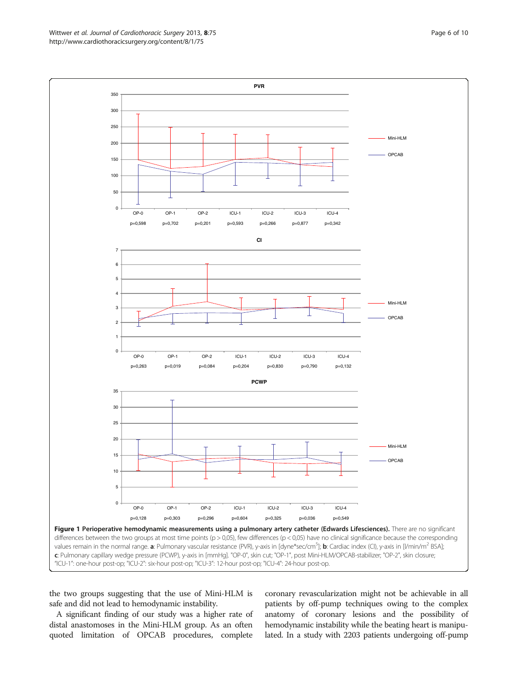the two groups suggesting that the use of Mini-HLM is safe and did not lead to hemodynamic instability.

A significant finding of our study was a higher rate of distal anastomoses in the Mini-HLM group. As an often quoted limitation of OPCAB procedures, complete

coronary revascularization might not be achievable in all patients by off-pump techniques owing to the complex anatomy of coronary lesions and the possibility of hemodynamic instability while the beating heart is manipulated. In a study with 2203 patients undergoing off-pump

<span id="page-5-0"></span>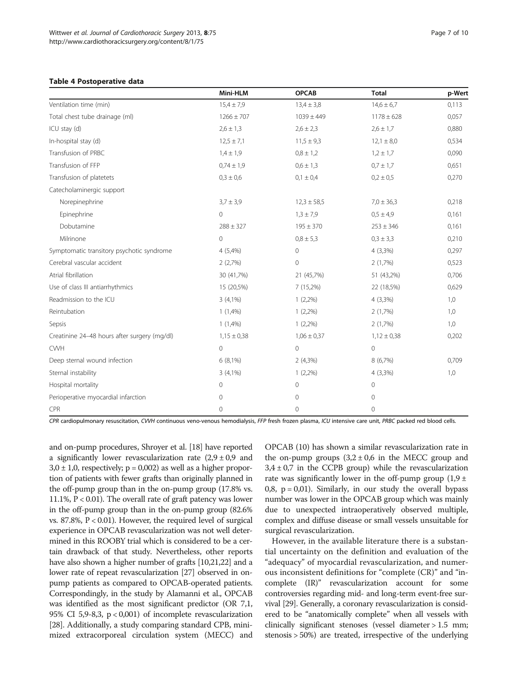#### <span id="page-6-0"></span>Table 4 Postoperative data

|                                              | Mini-HLM        | <b>OPCAB</b>        | <b>Total</b>    | p-Wert |
|----------------------------------------------|-----------------|---------------------|-----------------|--------|
| Ventilation time (min)                       | $15.4 \pm 7.9$  | $13,4 \pm 3,8$      | $14,6 \pm 6,7$  | 0,113  |
| Total chest tube drainage (ml)               | $1266 \pm 707$  | $1039 \pm 449$      | $1178 \pm 628$  | 0,057  |
| $ICU$ stay $(d)$                             | $2,6 \pm 1,3$   | $2,6 \pm 2,3$       | $2,6 \pm 1,7$   | 0,880  |
| In-hospital stay (d)                         | $12.5 \pm 7.1$  | $11,5 \pm 9,3$      | $12,1 \pm 8,0$  | 0,534  |
| Transfusion of PRBC                          | $1,4 \pm 1,9$   | $0,8 \pm 1,2$       | $1,2 \pm 1,7$   | 0,090  |
| Transfusion of FFP                           | $0.74 \pm 1.9$  | $0,6 \pm 1,3$       | $0.7 \pm 1.7$   | 0,651  |
| Transfusion of platetets                     | $0.3 \pm 0.6$   | $0,1 \pm 0,4$       | $0.2 \pm 0.5$   | 0,270  |
| Catecholaminergic support                    |                 |                     |                 |        |
| Norepinephrine                               | $3,7 \pm 3,9$   | $12,3 \pm 58,5$     | $7,0 \pm 36,3$  | 0,218  |
| Epinephrine                                  | $\mathbf{0}$    | $1,3 \pm 7,9$       | $0.5 \pm 4.9$   | 0,161  |
| Dobutamine                                   | $288 \pm 327$   | $195 \pm 370$       | $253 \pm 346$   | 0,161  |
| Milrinone                                    | $\mathbf 0$     | $0.8 \pm 5.3$       | $0,3 \pm 3,3$   | 0,210  |
| Symptomatic transitory psychotic syndrome    | 4 (5,4%)        | $\mathsf{O}\xspace$ | $4(3,3\%)$      | 0,297  |
| Cerebral vascular accident                   | 2(2,7%)         | $\mathbf 0$         | 2(1,7%)         | 0,523  |
| Atrial fibrillation                          | 30 (41,7%)      | 21 (45,7%)          | 51 (43,2%)      | 0,706  |
| Use of class III antiarrhythmics             | 15 (20,5%)      | $7(15,2\%)$         | 22 (18,5%)      | 0,629  |
| Readmission to the ICU                       | $3(4,1\%)$      | $1(2,2\%)$          | $4(3,3\%)$      | 1,0    |
| Reintubation                                 | $1(1,4\%)$      | $1(2,2\%)$          | 2(1,7%)         | 1,0    |
| Sepsis                                       | $1(1,4\%)$      | $1(2,2\%)$          | 2(1,7%)         | 1,0    |
| Creatinine 24-48 hours after surgery (mg/dl) | $1,15 \pm 0,38$ | $1,06 \pm 0,37$     | $1,12 \pm 0,38$ | 0,202  |
| <b>CWH</b>                                   | $\mathbf{0}$    | $\mathsf{O}\xspace$ | $\mathbf 0$     |        |
| Deep sternal wound infection                 | $6(8,1\%)$      | $2(4,3\%)$          | 8 (6,7%)        | 0,709  |
| Sternal instability                          | $3(4,1\%)$      | $1(2,2\%)$          | $4(3,3\%)$      | 1,0    |
| Hospital mortality                           | $\mathbf{0}$    | $\mathbf 0$         | $\mathbf 0$     |        |
| Perioperative myocardial infarction          | $\mathbf{0}$    | $\mathbf 0$         | $\mathbf 0$     |        |
| CPR                                          | $\mathbf{0}$    | $\mathbf 0$         | $\mathbf 0$     |        |

CPR cardiopulmonary resuscitation, CVVH continuous veno-venous hemodialysis, FFP fresh frozen plasma, ICU intensive care unit, PRBC packed red blood cells.

and on-pump procedures, Shroyer et al. [[18](#page-8-0)] have reported a significantly lower revascularization rate  $(2,9 \pm 0,9)$  and  $3,0 \pm 1,0$ , respectively;  $p = 0,002$ ) as well as a higher proportion of patients with fewer grafts than originally planned in the off-pump group than in the on-pump group (17.8% vs. 11.1%, P < 0.01). The overall rate of graft patency was lower in the off-pump group than in the on-pump group (82.6% vs. 87.8%,  $P < 0.01$ ). However, the required level of surgical experience in OPCAB revascularization was not well determined in this ROOBY trial which is considered to be a certain drawback of that study. Nevertheless, other reports have also shown a higher number of grafts [[10,21,22](#page-8-0)] and a lower rate of repeat revascularization [\[27\]](#page-8-0) observed in onpump patients as compared to OPCAB-operated patients. Correspondingly, in the study by Alamanni et al., OPCAB was identified as the most significant predictor (OR 7,1, 95% CI 5,9-8,3, p < 0,001) of incomplete revascularization [[28](#page-8-0)]. Additionally, a study comparing standard CPB, minimized extracorporeal circulation system (MECC) and

OPCAB (10) has shown a similar revascularization rate in the on-pump groups  $(3,2 \pm 0.6)$  in the MECC group and  $3,4 \pm 0,7$  in the CCPB group) while the revascularization rate was significantly lower in the off-pump group  $(1,9 \pm 1)$ 0,8,  $p = 0.01$ ). Similarly, in our study the overall bypass number was lower in the OPCAB group which was mainly due to unexpected intraoperatively observed multiple, complex and diffuse disease or small vessels unsuitable for surgical revascularization.

However, in the available literature there is a substantial uncertainty on the definition and evaluation of the "adequacy" of myocardial revascularization, and numerous inconsistent definitions for "complete (CR)" and "incomplete (IR)" revascularization account for some controversies regarding mid- and long-term event-free survival [\[29\]](#page-8-0). Generally, a coronary revascularization is considered to be "anatomically complete" when all vessels with clinically significant stenoses (vessel diameter > 1.5 mm; stenosis > 50%) are treated, irrespective of the underlying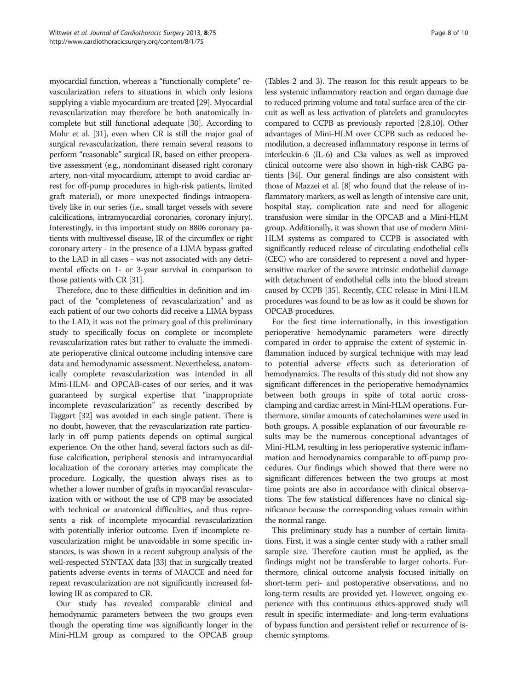myocardial function, whereas a "functionally complete" revascularization refers to situations in which only lesions supplying a viable myocardium are treated [\[29\]](#page-8-0). Myocardial revascularization may therefore be both anatomically incomplete but still functional adequate [[30](#page-8-0)]. According to Mohr et al. [\[31](#page-8-0)], even when CR is still the major goal of surgical revascularization, there remain several reasons to perform "reasonable" surgical IR, based on either preoperative assessment (e.g., nondominant diseased right coronary artery, non-vital myocardium, attempt to avoid cardiac arrest for off-pump procedures in high-risk patients, limited graft material), or more unexpected findings intraoperatively like in our series (i.e., small target vessels with severe calcifications, intramyocardial coronaries, coronary injury). Interestingly, in this important study on 8806 coronary patients with multivessel disease, IR of the circumflex or right coronary artery - in the presence of a LIMA bypass grafted to the LAD in all cases - was not associated with any detrimental effects on 1- or 3-year survival in comparison to those patients with CR [\[31\]](#page-8-0).

Therefore, due to these difficulties in definition and impact of the "completeness of revascularization" and as each patient of our two cohorts did receive a LIMA bypass to the LAD, it was not the primary goal of this preliminary study to specifically focus on complete or incomplete revascularization rates but rather to evaluate the immediate perioperative clinical outcome including intensive care data and hemodynamic assessment. Nevertheless, anatomically complete revascularization was intended in all Mini-HLM- and OPCAB-cases of our series, and it was guaranteed by surgical expertise that "inappropriate incomplete revascularization" as recently described by Taggart [[32](#page-8-0)] was avoided in each single patient. There is no doubt, however, that the revascularization rate particularly in off pump patients depends on optimal surgical experience. On the other hand, several factors such as diffuse calcification, peripheral stenosis and intramyocardial localization of the coronary arteries may complicate the procedure. Logically, the question always rises as to whether a lower number of grafts in myocardial revascularization with or without the use of CPB may be associated with technical or anatomical difficulties, and thus represents a risk of incomplete myocardial revascularization with potentially inferior outcome. Even if incomplete revascularization might be unavoidable in some specific instances, is was shown in a recent subgroup analysis of the well-respected SYNTAX data [\[33\]](#page-9-0) that in surgically treated patients adverse events in terms of MACCE and need for repeat revascularization are not significantly increased following IR as compared to CR.

Our study has revealed comparable clinical and hemodynamic parameters between the two groups even though the operating time was significantly longer in the Mini-HLM group as compared to the OPCAB group

(Tables [2](#page-3-0) and [3\)](#page-4-0). The reason for this result appears to be less systemic inflammatory reaction and organ damage due to reduced priming volume and total surface area of the circuit as well as less activation of platelets and granulocytes compared to CCPB as previously reported [\[2,8,10](#page-8-0)]. Other advantages of Mini-HLM over CCPB such as reduced hemodilution, a decreased inflammatory response in terms of interleukin-6 (IL-6) and C3a values as well as improved clinical outcome were also shown in high-risk CABG patients [[34](#page-9-0)]. Our general findings are also consistent with those of Mazzei et al. [\[8\]](#page-8-0) who found that the release of inflammatory markers, as well as length of intensive care unit, hospital stay, complication rate and need for allogenic transfusion were similar in the OPCAB and a Mini-HLM group. Additionally, it was shown that use of modern Mini-HLM systems as compared to CCPB is associated with significantly reduced release of circulating endothelial cells (CEC) who are considered to represent a novel and hypersensitive marker of the severe intrinsic endothelial damage with detachment of endothelial cells into the blood stream caused by CCPB [[35](#page-9-0)]. Recently, CEC release in Mini-HLM procedures was found to be as low as it could be shown for OPCAB procedures.

For the first time internationally, in this investigation perioperative hemodynamic parameters were directly compared in order to appraise the extent of systemic inflammation induced by surgical technique with may lead to potential adverse effects such as deterioration of hemodynamics. The results of this study did not show any significant differences in the perioperative hemodynamics between both groups in spite of total aortic crossclamping and cardiac arrest in Mini-HLM operations. Furthermore, similar amounts of catecholamines were used in both groups. A possible explanation of our favourable results may be the numerous conceptional advantages of Mini-HLM, resulting in less perioperative systemic inflammation and hemodynamics comparable to off-pump procedures. Our findings which showed that there were no significant differences between the two groups at most time points are also in accordance with clinical observations. The few statistical differences have no clinical significance because the corresponding values remain within the normal range.

This preliminary study has a number of certain limitations. First, it was a single center study with a rather small sample size. Therefore caution must be applied, as the findings might not be transferable to larger cohorts. Furthermore, clinical outcome analysis focused initially on short-term peri- and postoperative observations, and no long-term results are provided yet. However, ongoing experience with this continuous ethics-approved study will result in specific intermediate- and long-term evaluations of bypass function and persistent relief or recurrence of ischemic symptoms.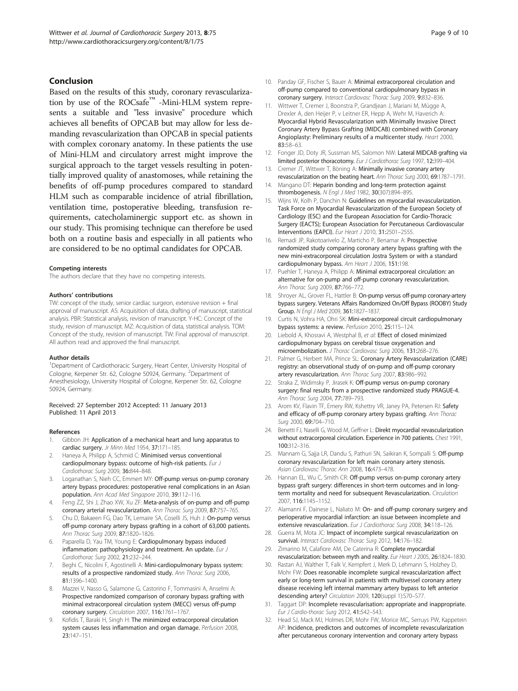# <span id="page-8-0"></span>Conclusion

Based on the results of this study, coronary revascularization by use of the ROCsafe $M_{\text{max}}$  -Mini-HLM system represents a suitable and "less invasive" procedure which achieves all benefits of OPCAB but may allow for less demanding revascularization than OPCAB in special patients with complex coronary anatomy. In these patients the use of Mini-HLM and circulatory arrest might improve the surgical approach to the target vessels resulting in potentially improved quality of anastomoses, while retaining the benefits of off-pump procedures compared to standard HLM such as comparable incidence of atrial fibrillation, ventilation time, postoperative bleeding, transfusion requirements, catecholaminergic support etc. as shown in our study. This promising technique can therefore be used both on a routine basis and especially in all patients who are considered to be no optimal candidates for OPCAB.

#### Competing interests

The authors declare that they have no competing interests.

#### Authors' contributions

TW: concept of the study, senior cardiac surgeon, extensive revision + final approval of manuscript. AS: Acquisition of data, drafting of manuscript, statistical analysis. PBR: Statistical analysis, revision of manuscript. Y-HC: Concept of the study, revision of manuscript. MZ: Acquisition of data, statistical analysis. TOM: Concept of the study, revision of manuscript. TW: Final approval of manuscript. All authors read and approved the final manuscript.

#### Author details

<sup>1</sup>Department of Cardiothoracic Surgery, Heart Center, University Hospital of Cologne, Kerpener Str. 62, Cologne 50924, Germany. <sup>2</sup>Department of Anesthesiology, University Hospital of Cologne, Kerpener Str. 62, Cologne 50924, Germany.

Received: 27 September 2012 Accepted: 11 January 2013 Published: 11 April 2013

#### References

- Gibbon JH: Application of a mechanical heart and lung apparatus to cardiac surgery. Jr Minn Med 1954, 37:171-185.
- Haneya A, Philipp A, Schmid C: Minimised versus conventional cardiopulmonary bypass: outcome of high-risk patients. Eur J Cardiothorac Surg 2009, 36:844–848.
- 3. Loganathan S, Nieh CC, Emmert MY: Off-pump versus on-pump coronary artery bypass procedures: postoperative renal complications in an Asian population. Ann Acad Med Singapore 2010, 39:112–116.
- Feng ZZ, Shi J, Zhao XW, Xu ZF: Meta-analysis of on-pump and off-pump coronary arterial revascularization. Ann Thorac Surg 2009, 87:757–765.
- Chu D, Bakaeen FG, Dao TK, Lemaire SA, Coselli JS, Huh J: On-pump versus off-pump coronary artery bypass grafting in a cohort of 63,000 patients. Ann Thorac Surg 2009, 87:1820–1826.
- 6. Paparella D, Yau TM, Young E: Cardiopulmonary bypass induced inflammation: pathophysiology and treatment. An update. Eur J Cardiothorac Surg 2002, 21:232–244.
- 7. Beghi C, Nicolini F, Agostinelli A: Mini-cardiopulmonary bypass system: results of a prospective randomized study. Ann Thorac Surg 2006, 81:1396–1400.
- 8. Mazzei V, Nasso G, Salamone G, Castorino F, Tommasini A, Anselmi A: Prospective randomized comparison of coronary bypass grafting with minimal extracorporeal circulation system (MECC) versus off-pump coronary surgery. Circulation 2007, 116:1761–1767.
- Kofidis T, Baraki H, Singh H: The minimized extracorporeal circulation system causes less inflammation and organ damage. Perfusion 2008, 23:147–151.
- 10. Panday GF, Fischer S, Bauer A: Minimal extracorporeal circulation and off-pump compared to conventional cardiopulmonary bypass in coronary surgery. Interact Cardiovasc Thorac Surg 2009, 9:832–836.
- 11. Wittwer T, Cremer J, Boonstra P, Grandjean J, Mariani M, Mügge A, Drexler A, den Heijer P, v Leitner ER, Hepp A, Wehr M, Haverich A: Myocardial Hybrid Revascularization with Minimally Invasive Direct Coronary Artery Bypass Grafting (MIDCAB) combined with Coronary Angioplasty: Preliminary results of a multicenter study. Heart 2000, 83:58–63.
- 12. Fonger JD, Doty JR, Sussman MS, Salomon NW: Lateral MIDCAB grafting via limited posterior thoracotomy. Eur J Cardiothorac Surg 1997, 12:399-404.
- 13. Cremer JT, Wittwer T, Böning A: Minimally invasive coronary artery revascularization on the beating heart. Ann Thorac Surg 2000, 69:1787–1791.
- 14. Mangano DT: Heparin bonding and long-term protection against thrombogenesis. N Engl J Med 1982, 30(307):894–895.
- 15. Wijns W, Kolh P, Danchin N: Guidelines on myocardial revascularization. Task Force on Myocardial Revascularization of the European Society of Cardiology (ESC) and the European Association for Cardio-Thoracic Surgery (EACTS); European Association for Percutaneous Cardiovascular Interventions (EAPCI). Eur Heart J 2010, 31:2501–2555.
- 16. Remadi JP, Rakotoarivelo Z, Marticho P, Benamar A: Prospective randomized study comparing coronary artery bypass grafting with the new mini-extracorporeal circulation Jostra System or with a standard cardiopulmonary bypass. Am Heart J 2006, 151:198.
- 17. Puehler T, Haneya A, Philipp A: Minimal extracorporeal circulation: an alternative for on-pump and off-pump coronary revascularization. Ann Thorac Surg 2009, 87:766–772.
- 18. Shroyer AL, Grover FL, Hattler B: On-pump versus off-pump coronary-artery bypass surgery. Veterans Affairs Randomized On/Off Bypass (ROOBY) Study Group. N Engl J Med 2009, 361:1827–1837.
- 19. Curtis N, Vohra HA, Ohri SK: Mini-extracorporeal circuit cardiopulmonary bypass systems: a review. Perfusion 2010, 25:115-124.
- 20. Liebold A, Khosravi A, Westphal B, et al: Effect of closed minimized cardiopulmonary bypass on cerebral tissue oxygenation and microembolization. J Thorac Cardiovasc Surg 2006, 131:268–276.
- 21. Palmer G, Herbert MA, Prince SL: Coronary Artery Revascularization (CARE) registry: an observational study of on-pump and off-pump coronary artery revascularization. Ann Thorac Surg 2007, 83:986–992.
- 22. Straka Z, Widimsky P, Jirasek K: Off-pump versus on-pump coronary surgery: final results from a prospective randomized study PRAGUE-4. Ann Thorac Surg 2004, 77:789–793.
- 23. Arom KV, Flavin TF, Emery RW, Kshettry VR, Janey PA, Petersen RJ: Safety and efficacy of off-pump coronary artery bypass grafting. Ann Thorac Surg 2000, 69:704–710.
- 24. Benetti FJ, Naselli G, Wood M, Geffner L: Direkt myocardial revascularization without extracorporeal circulation. Experience in 700 patients. Chest 1991, 100:312–316.
- 25. Mannam G, Sajja LR, Dandu S, Pathuri SN, Saikiran K, Sompalli S: Off-pump coronary revascularization for left main coronary artery stenosis. Asian Cardiovasc Thorac Ann 2008, 16:473-478.
- 26. Hannan EL, Wu C, Smith CR: Off-pump versus on-pump coronary artery bypass graft surgery: differences in short-term outcomes and in longterm mortality and need for subsequent Revascularization. Circulation 2007, 116:1145–1152.
- 27. Alamanni F, Dainese L, Naliato M: On- and off-pump coronary surgery and perioperative myocardial infarction: an issue between incomplete and extensive revascularization. Eur J Cardiothorac Surg 2008, 34:118-126
- 28. Guerra M, Mota JC: Impact of incomplete surgical revascularization on survival. Interact Cardiovasc Thorac Surg 2012, 14:176–182.
- 29. Zimarino M, Calafiore AM, De Caterina R: Complete myocardial revascularization: between myth and reality. Eur Heart J 2005, 26:1824-1830.
- 30. Rastan AJ, Walther T, Falk V, Kempfert J, Merk D, Lehmann S, Holzhey D, Mohr FW: Does reasonable incomplete surgical revascularization affect early or long-term survival in patients with multivessel coronary artery disease receiving left internal mammary artery bypass to left anterior descending artery? Circulation 2009, 120(suppl 1):S70–S77.
- 31. Taggart DP: Incomplete revascularisation: appropriate and inappropriate. Eur J Cardio-thorac Surg 2012, 41:542–543.
- 32. Head SJ, Mack MJ, Holmes DR, Mohr FW, Morice MC, Serruys PW, Kappetein AP: Incidence, predictors and outcomes of incomplete revascularization after percutaneous coronary intervention and coronary artery bypass